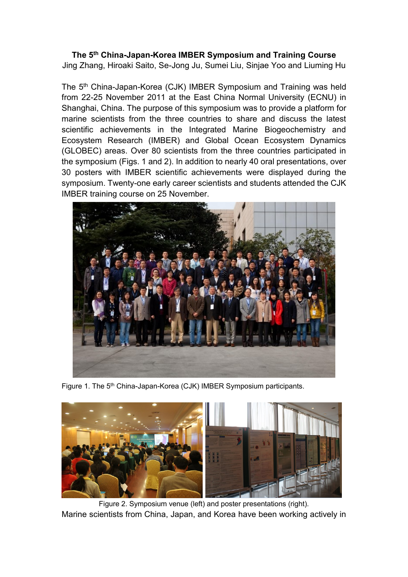# **The 5th China-Japan-Korea IMBER Symposium and Training Course**

Jing Zhang, Hiroaki Saito, Se-Jong Ju, Sumei Liu, Sinjae Yoo and Liuming Hu

The 5th China-Japan-Korea (CJK) IMBER Symposium and Training was held from 22-25 November 2011 at the East China Normal University (ECNU) in Shanghai, China. The purpose of this symposium was to provide a platform for marine scientists from the three countries to share and discuss the latest scientific achievements in the Integrated Marine Biogeochemistry and Ecosystem Research (IMBER) and Global Ocean Ecosystem Dynamics (GLOBEC) areas. Over 80 scientists from the three countries participated in the symposium (Figs. 1 and 2). In addition to nearly 40 oral presentations, over 30 posters with IMBER scientific achievements were displayed during the symposium. Twenty-one early career scientists and students attended the CJK IMBER training course on 25 November.



Figure 1. The 5<sup>th</sup> China-Japan-Korea (CJK) IMBER Symposium participants.



Figure 2. Symposium venue (left) and poster presentations (right). Marine scientists from China, Japan, and Korea have been working actively in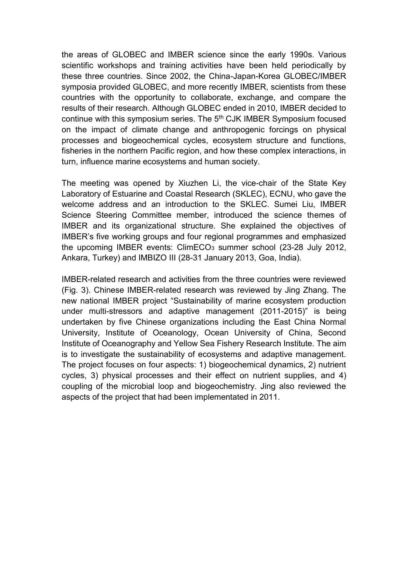the areas of GLOBEC and IMBER science since the early 1990s. Various scientific workshops and training activities have been held periodically by these three countries. Since 2002, the China-Japan-Korea GLOBEC/IMBER symposia provided GLOBEC, and more recently IMBER, scientists from these countries with the opportunity to collaborate, exchange, and compare the results of their research. Although GLOBEC ended in 2010, IMBER decided to continue with this symposium series. The 5th CJK IMBER Symposium focused on the impact of climate change and anthropogenic forcings on physical processes and biogeochemical cycles, ecosystem structure and functions, fisheries in the northern Pacific region, and how these complex interactions, in turn, influence marine ecosystems and human society.

The meeting was opened by Xiuzhen Li, the vice-chair of the State Key Laboratory of Estuarine and Coastal Research (SKLEC), ECNU, who gave the welcome address and an introduction to the SKLEC. Sumei Liu, IMBER Science Steering Committee member, introduced the science themes of IMBER and its organizational structure. She explained the objectives of IMBER's five working groups and four regional programmes and emphasized the upcoming IMBER events:  $ClimECO<sub>3</sub>$  summer school (23-28 July 2012, Ankara, Turkey) and IMBIZO III (28-31 January 2013, Goa, India).

IMBER-related research and activities from the three countries were reviewed (Fig. 3). Chinese IMBER-related research was reviewed by Jing Zhang. The new national IMBER project "Sustainability of marine ecosystem production under multi-stressors and adaptive management (2011-2015)" is being undertaken by five Chinese organizations including the East China Normal University, Institute of Oceanology, Ocean University of China, Second Institute of Oceanography and Yellow Sea Fishery Research Institute. The aim is to investigate the sustainability of ecosystems and adaptive management. The project focuses on four aspects: 1) biogeochemical dynamics, 2) nutrient cycles, 3) physical processes and their effect on nutrient supplies, and 4) coupling of the microbial loop and biogeochemistry. Jing also reviewed the aspects of the project that had been implementated in 2011.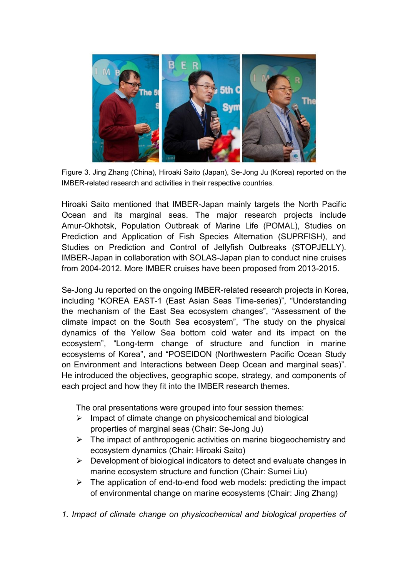

Figure 3. Jing Zhang (China), Hiroaki Saito (Japan), Se-Jong Ju (Korea) reported on the IMBER-related research and activities in their respective countries.

Hiroaki Saito mentioned that IMBER-Japan mainly targets the North Pacific Ocean and its marginal seas. The major research projects include Amur-Okhotsk, Population Outbreak of Marine Life (POMAL), Studies on Prediction and Application of Fish Species Alternation (SUPRFISH), and Studies on Prediction and Control of Jellyfish Outbreaks (STOPJELLY). IMBER-Japan in collaboration with SOLAS-Japan plan to conduct nine cruises from 2004-2012. More IMBER cruises have been proposed from 2013-2015.

Se-Jong Ju reported on the ongoing IMBER-related research projects in Korea, including "KOREA EAST-1 (East Asian Seas Time-series)", "Understanding the mechanism of the East Sea ecosystem changes", "Assessment of the climate impact on the South Sea ecosystem", "The study on the physical dynamics of the Yellow Sea bottom cold water and its impact on the ecosystem", "Long-term change of structure and function in marine ecosystems of Korea", and "POSEIDON (Northwestern Pacific Ocean Study on Environment and Interactions between Deep Ocean and marginal seas)". He introduced the objectives, geographic scope, strategy, and components of each project and how they fit into the IMBER research themes.

The oral presentations were grouped into four session themes:

- $\triangleright$  Impact of climate change on physicochemical and biological properties of marginal seas (Chair: Se-Jong Ju)
- $\triangleright$  The impact of anthropogenic activities on marine biogeochemistry and ecosystem dynamics (Chair: Hiroaki Saito)
- $\triangleright$  Development of biological indicators to detect and evaluate changes in marine ecosystem structure and function (Chair: Sumei Liu)
- $\triangleright$  The application of end-to-end food web models: predicting the impact of environmental change on marine ecosystems (Chair: Jing Zhang)
- *1. Impact of climate change on physicochemical and biological properties of*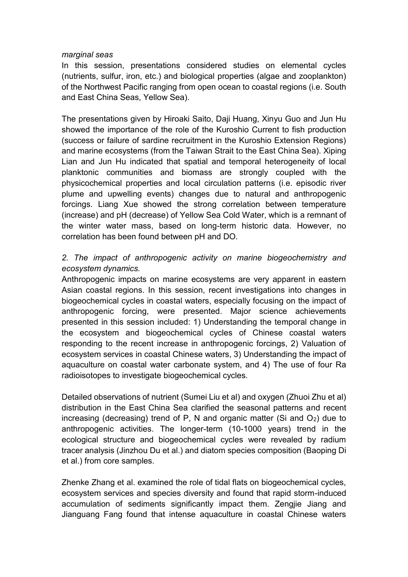#### *marginal seas*

In this session, presentations considered studies on elemental cycles (nutrients, sulfur, iron, etc.) and biological properties (algae and zooplankton) of the Northwest Pacific ranging from open ocean to coastal regions (i.e. South and East China Seas, Yellow Sea).

The presentations given by Hiroaki Saito, Daji Huang, Xinyu Guo and Jun Hu showed the importance of the role of the Kuroshio Current to fish production (success or failure of sardine recruitment in the Kuroshio Extension Regions) and marine ecosystems (from the Taiwan Strait to the East China Sea). Xiping Lian and Jun Hu indicated that spatial and temporal heterogeneity of local planktonic communities and biomass are strongly coupled with the physicochemical properties and local circulation patterns (i.e. episodic river plume and upwelling events) changes due to natural and anthropogenic forcings. Liang Xue showed the strong correlation between temperature (increase) and pH (decrease) of Yellow Sea Cold Water, which is a remnant of the winter water mass, based on long-term historic data. However, no correlation has been found between pH and DO.

## *2. The impact of anthropogenic activity on marine biogeochemistry and ecosystem dynamics.*

Anthropogenic impacts on marine ecosystems are very apparent in eastern Asian coastal regions. In this session, recent investigations into changes in biogeochemical cycles in coastal waters, especially focusing on the impact of anthropogenic forcing, were presented. Major science achievements presented in this session included: 1) Understanding the temporal change in the ecosystem and biogeochemical cycles of Chinese coastal waters responding to the recent increase in anthropogenic forcings, 2) Valuation of ecosystem services in coastal Chinese waters, 3) Understanding the impact of aquaculture on coastal water carbonate system, and 4) The use of four Ra radioisotopes to investigate biogeochemical cycles.

Detailed observations of nutrient (Sumei Liu et al) and oxygen (Zhuoi Zhu et al) distribution in the East China Sea clarified the seasonal patterns and recent increasing (decreasing) trend of P, N and organic matter (Si and  $O<sub>2</sub>$ ) due to anthropogenic activities. The longer-term (10-1000 years) trend in the ecological structure and biogeochemical cycles were revealed by radium tracer analysis (Jinzhou Du et al.) and diatom species composition (Baoping Di et al.) from core samples.

Zhenke Zhang et al. examined the role of tidal flats on biogeochemical cycles, ecosystem services and species diversity and found that rapid storm-induced accumulation of sediments significantly impact them. Zengjie Jiang and Jianguang Fang found that intense aquaculture in coastal Chinese waters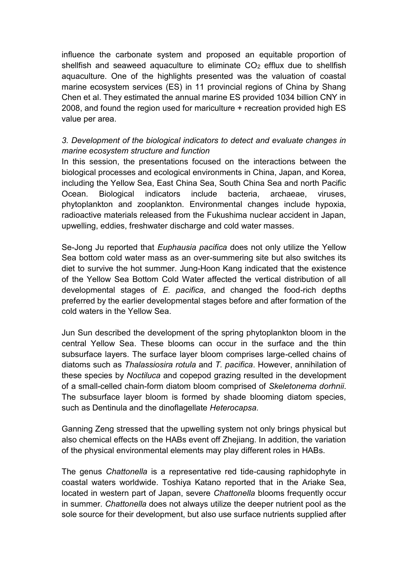influence the carbonate system and proposed an equitable proportion of shellfish and seaweed aquaculture to eliminate  $CO<sub>2</sub>$  efflux due to shellfish aquaculture. One of the highlights presented was the valuation of coastal marine ecosystem services (ES) in 11 provincial regions of China by Shang Chen et al. They estimated the annual marine ES provided 1034 billion CNY in 2008, and found the region used for mariculture + recreation provided high ES value per area.

### *3. Development of the biological indicators to detect and evaluate changes in marine ecosystem structure and function*

In this session, the presentations focused on the interactions between the biological processes and ecological environments in China, Japan, and Korea, including the Yellow Sea, East China Sea, South China Sea and north Pacific Ocean. Biological indicators include bacteria, archaeae, viruses, phytoplankton and zooplankton. Environmental changes include hypoxia, radioactive materials released from the Fukushima nuclear accident in Japan, upwelling, eddies, freshwater discharge and cold water masses.

Se-Jong Ju reported that *Euphausia pacifica* does not only utilize the Yellow Sea bottom cold water mass as an over-summering site but also switches its diet to survive the hot summer. Jung-Hoon Kang indicated that the existence of the Yellow Sea Bottom Cold Water affected the vertical distribution of all developmental stages of *E. pacifica*, and changed the food-rich depths preferred by the earlier developmental stages before and after formation of the cold waters in the Yellow Sea.

Jun Sun described the development of the spring phytoplankton bloom in the central Yellow Sea. These blooms can occur in the surface and the thin subsurface layers. The surface layer bloom comprises large-celled chains of diatoms such as *Thalassiosira rotula* and *T. pacifica*. However, annihilation of these species by *Noctiluca* and copepod grazing resulted in the development of a small-celled chain-form diatom bloom comprised of *Skeletonema dorhnii*. The subsurface layer bloom is formed by shade blooming diatom species, such as Dentinula and the dinoflagellate *Heterocapsa.*

Ganning Zeng stressed that the upwelling system not only brings physical but also chemical effects on the HABs event off Zhejiang. In addition, the variation of the physical environmental elements may play different roles in HABs.

The genus *Chattonella* is a representative red tide-causing raphidophyte in coastal waters worldwide. Toshiya Katano reported that in the Ariake Sea, located in western part of Japan, severe *Chattonella* blooms frequently occur in summer. *Chattonella* does not always utilize the deeper nutrient pool as the sole source for their development, but also use surface nutrients supplied after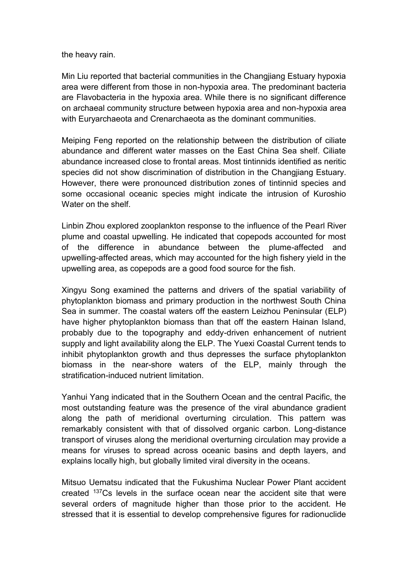the heavy rain.

Min Liu reported that bacterial communities in the Changjiang Estuary hypoxia area were different from those in non-hypoxia area. The predominant bacteria are Flavobacteria in the hypoxia area. While there is no significant difference on archaeal community structure between hypoxia area and non-hypoxia area with Euryarchaeota and Crenarchaeota as the dominant communities.

Meiping Feng reported on the relationship between the distribution of ciliate abundance and different water masses on the East China Sea shelf. Ciliate abundance increased close to frontal areas. Most tintinnids identified as neritic species did not show discrimination of distribution in the Changjiang Estuary. However, there were pronounced distribution zones of tintinnid species and some occasional oceanic species might indicate the intrusion of Kuroshio Water on the shelf.

Linbin Zhou explored zooplankton response to the influence of the Pearl River plume and coastal upwelling. He indicated that copepods accounted for most of the difference in abundance between the plume-affected and upwelling-affected areas, which may accounted for the high fishery yield in the upwelling area, as copepods are a good food source for the fish.

Xingyu Song examined the patterns and drivers of the spatial variability of phytoplankton biomass and primary production in the northwest South China Sea in summer. The coastal waters off the eastern Leizhou Peninsular (ELP) have higher phytoplankton biomass than that off the eastern Hainan Island, probably due to the topography and eddy-driven enhancement of nutrient supply and light availability along the ELP. The Yuexi Coastal Current tends to inhibit phytoplankton growth and thus depresses the surface phytoplankton biomass in the near-shore waters of the ELP, mainly through the stratification-induced nutrient limitation.

Yanhui Yang indicated that in the Southern Ocean and the central Pacific, the most outstanding feature was the presence of the viral abundance gradient along the path of meridional overturning circulation. This pattern was remarkably consistent with that of dissolved organic carbon. Long-distance transport of viruses along the meridional overturning circulation may provide a means for viruses to spread across oceanic basins and depth layers, and explains locally high, but globally limited viral diversity in the oceans.

Mitsuo Uematsu indicated that the Fukushima Nuclear Power Plant accident created <sup>137</sup>Cs levels in the surface ocean near the accident site that were several orders of magnitude higher than those prior to the accident. He stressed that it is essential to develop comprehensive figures for radionuclide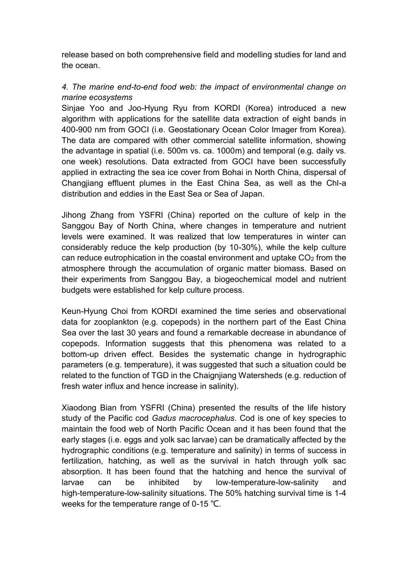release based on both comprehensive field and modelling studies for land and the ocean.

## *4. The marine end-to-end food web: the impact of environmental change on marine ecosystems*

Sinjae Yoo and Joo-Hyung Ryu from KORDI (Korea) introduced a new algorithm with applications for the satellite data extraction of eight bands in 400-900 nm from GOCI (i.e. Geostationary Ocean Color Imager from Korea). The data are compared with other commercial satellite information, showing the advantage in spatial (i.e. 500m vs. ca. 1000m) and temporal (e.g. daily vs. one week) resolutions. Data extracted from GOCI have been successfully applied in extracting the sea ice cover from Bohai in North China, dispersal of Changjiang effluent plumes in the East China Sea, as well as the Chl-a distribution and eddies in the East Sea or Sea of Japan.

Jihong Zhang from YSFRI (China) reported on the culture of kelp in the Sanggou Bay of North China, where changes in temperature and nutrient levels were examined. It was realized that low temperatures in winter can considerably reduce the kelp production (by 10-30%), while the kelp culture can reduce eutrophication in the coastal environment and uptake CO<sup>2</sup> from the atmosphere through the accumulation of organic matter biomass. Based on their experiments from Sanggou Bay, a biogeochemical model and nutrient budgets were established for kelp culture process.

Keun-Hyung Choi from KORDI examined the time series and observational data for zooplankton (e.g. copepods) in the northern part of the East China Sea over the last 30 years and found a remarkable decrease in abundance of copepods. Information suggests that this phenomena was related to a bottom-up driven effect. Besides the systematic change in hydrographic parameters (e.g. temperature), it was suggested that such a situation could be related to the function of TGD in the Chaignjiang Watersheds (e.g. reduction of fresh water influx and hence increase in salinity).

Xiaodong Bian from YSFRI (China) presented the results of the life history study of the Pacific cod *Gadus macrocephalus*. Cod is one of key species to maintain the food web of North Pacific Ocean and it has been found that the early stages (i.e. eggs and yolk sac larvae) can be dramatically affected by the hydrographic conditions (e.g. temperature and salinity) in terms of success in fertilization, hatching, as well as the survival in hatch through yolk sac absorption. It has been found that the hatching and hence the survival of larvae can be inhibited by low-temperature-low-salinity and high-temperature-low-salinity situations. The 50% hatching survival time is 1-4 weeks for the temperature range of 0-15 ℃.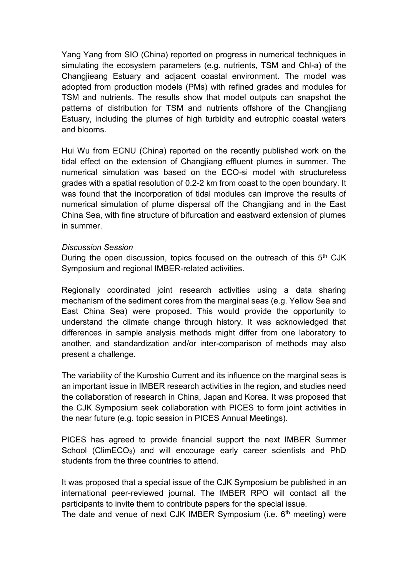Yang Yang from SIO (China) reported on progress in numerical techniques in simulating the ecosystem parameters (e.g. nutrients, TSM and Chl-a) of the Changjieang Estuary and adjacent coastal environment. The model was adopted from production models (PMs) with refined grades and modules for TSM and nutrients. The results show that model outputs can snapshot the patterns of distribution for TSM and nutrients offshore of the Changjiang Estuary, including the plumes of high turbidity and eutrophic coastal waters and blooms.

Hui Wu from ECNU (China) reported on the recently published work on the tidal effect on the extension of Changjiang effluent plumes in summer. The numerical simulation was based on the ECO-si model with structureless grades with a spatial resolution of 0.2-2 km from coast to the open boundary. It was found that the incorporation of tidal modules can improve the results of numerical simulation of plume dispersal off the Changjiang and in the East China Sea, with fine structure of bifurcation and eastward extension of plumes in summer.

#### *Discussion Session*

During the open discussion, topics focused on the outreach of this  $5<sup>th</sup>$  CJK Symposium and regional IMBER-related activities.

Regionally coordinated joint research activities using a data sharing mechanism of the sediment cores from the marginal seas (e.g. Yellow Sea and East China Sea) were proposed. This would provide the opportunity to understand the climate change through history. It was acknowledged that differences in sample analysis methods might differ from one laboratory to another, and standardization and/or inter-comparison of methods may also present a challenge.

The variability of the Kuroshio Current and its influence on the marginal seas is an important issue in IMBER research activities in the region, and studies need the collaboration of research in China, Japan and Korea. It was proposed that the CJK Symposium seek collaboration with PICES to form joint activities in the near future (e.g. topic session in PICES Annual Meetings).

PICES has agreed to provide financial support the next IMBER Summer School (ClimECO<sub>3</sub>) and will encourage early career scientists and PhD students from the three countries to attend.

It was proposed that a special issue of the CJK Symposium be published in an international peer-reviewed journal. The IMBER RPO will contact all the participants to invite them to contribute papers for the special issue.

The date and venue of next CJK IMBER Symposium (i.e.  $6<sup>th</sup>$  meeting) were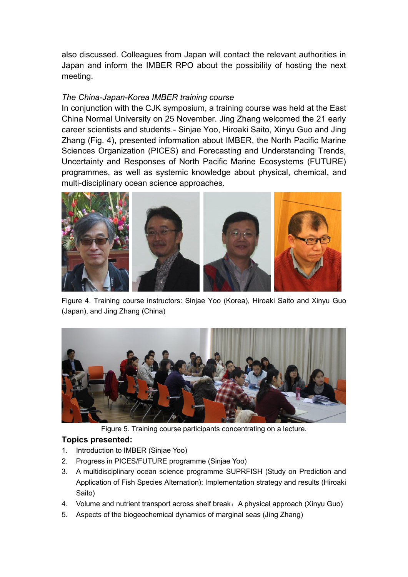also discussed. Colleagues from Japan will contact the relevant authorities in Japan and inform the IMBER RPO about the possibility of hosting the next meeting.

#### *The China-Japan-Korea IMBER training course*

In conjunction with the CJK symposium, a training course was held at the East China Normal University on 25 November. Jing Zhang welcomed the 21 early career scientists and students.- Sinjae Yoo, Hiroaki Saito, Xinyu Guo and Jing Zhang (Fig. 4), presented information about IMBER, the North Pacific Marine Sciences Organization (PICES) and Forecasting and Understanding Trends, Uncertainty and Responses of North Pacific Marine Ecosystems (FUTURE) programmes, as well as systemic knowledge about physical, chemical, and multi-disciplinary ocean science approaches.



Figure 4. Training course instructors: Sinjae Yoo (Korea), Hiroaki Saito and Xinyu Guo (Japan), and Jing Zhang (China)



Figure 5. Training course participants concentrating on a lecture.

### **Topics presented:**

- 1. Introduction to IMBER (Sinjae Yoo)
- 2. Progress in PICES/FUTURE programme (Sinjae Yoo)
- 3. A multidisciplinary ocean science programme SUPRFISH (Study on Prediction and Application of Fish Species Alternation): Implementation strategy and results (Hiroaki Saito)
- 4. Volume and nutrient transport across shelf break: A physical approach (Xinyu Guo)
- 5. Aspects of the biogeochemical dynamics of marginal seas (Jing Zhang)